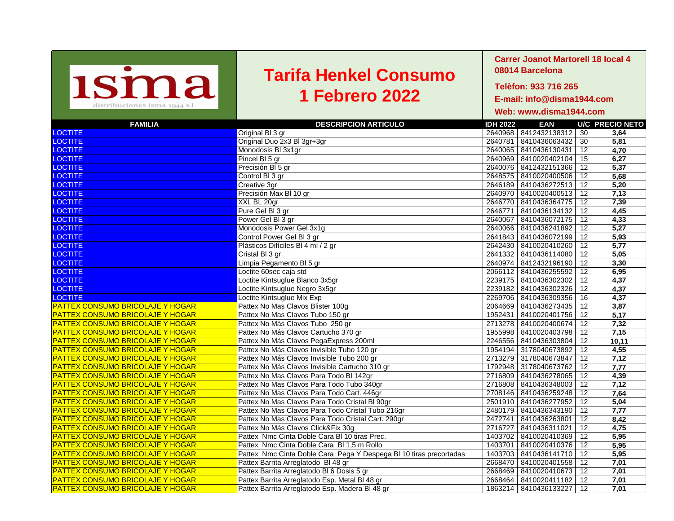| <b>1sma</b><br>distribuciones isma 1944 s.l | <b>Tarifa Henkel Consumo</b><br><b>1 Febrero 2022</b>              | <b>Carrer Joanot Martorell 18 local 4</b><br>08014 Barcelona<br>Telèfon: 933 716 265<br>E-mail: info@disma1944.com<br>Web: www.disma1944.com |  |  |  |  |
|---------------------------------------------|--------------------------------------------------------------------|----------------------------------------------------------------------------------------------------------------------------------------------|--|--|--|--|
| <b>FAMILIA</b>                              | <b>DESCRIPCION ARTICULO</b>                                        | <b>EAN</b><br><b>U/C PRECIO NETO</b><br><b>IDH 2022</b>                                                                                      |  |  |  |  |
| <b>LOCTITE</b>                              | Original BI 3 gr                                                   | 2640968   8412432138312  <br>30<br>3,64                                                                                                      |  |  |  |  |
| <b>LOCTITE</b>                              | Original Duo 2x3 Bl 3gr+3gr                                        | 30<br>2640781<br>8410436063432<br>5,81                                                                                                       |  |  |  |  |
| <b>LOCTITE</b>                              | Monodosis BI 3x1gr                                                 | 12<br>4,70<br>2640065 8410436130431                                                                                                          |  |  |  |  |
| <b>LOCTITE</b>                              | Pincel BI 5 gr                                                     | 15<br>6,27<br>2640969   8410020402104                                                                                                        |  |  |  |  |
| <b>LOCTITE</b>                              | Precisión BI 5 gr                                                  | 2640076   8412432151366  <br>12<br>5,37                                                                                                      |  |  |  |  |
| <b>LOCTITE</b>                              | Control BI 3 gr                                                    | 2648575<br>12<br>5,68<br>8410020400506                                                                                                       |  |  |  |  |
| <b>LOCTITE</b>                              | Creative 3gr                                                       | 12<br>2646189<br>8410436272513<br>5,20                                                                                                       |  |  |  |  |
| <b>LOCTITE</b>                              | Precisión Max BI 10 gr                                             | 2640970<br>12<br>7,13<br>8410020400513                                                                                                       |  |  |  |  |
| <b>LOCTITE</b>                              | XXL BL 20gr                                                        | 12<br>7,39<br>2646770<br>8410436364775                                                                                                       |  |  |  |  |
| <b>LOCTITE</b>                              | Pure Gel BI 3 gr                                                   | 12<br>2646771<br>8410436134132<br>4,45                                                                                                       |  |  |  |  |
| <b>LOCTITE</b>                              | Power Gel BI 3 gr                                                  | 2640067<br>12<br>4,33<br>8410436072175                                                                                                       |  |  |  |  |
| <b>LOCTITE</b>                              | Monodosis Power Gel 3x1g                                           | 2640066<br>12<br>8410436241892<br>5,27                                                                                                       |  |  |  |  |
| <b>LOCTITE</b>                              | Control Power Gel Bl 3 gr                                          | 2641843<br>12<br>5,93<br>8410436072199                                                                                                       |  |  |  |  |
| <b>LOCTITE</b>                              | Plásticos Difíciles BI 4 ml / 2 gr                                 | 2642430<br>5,77<br>8410020410260<br>12                                                                                                       |  |  |  |  |
| <b>LOCTITE</b>                              | Cristal BI 3 gr                                                    | 2641332<br>12<br>8410436114080<br>5,05                                                                                                       |  |  |  |  |
| <b>LOCTITE</b>                              | Limpia Pegamento BI 5 gr                                           | 2640974<br>8412432196190<br>12<br>3,30                                                                                                       |  |  |  |  |
| <b>LOCTITE</b>                              | Loctite 60sec caja std                                             | 2066112<br>12<br>8410436255592<br>6,95                                                                                                       |  |  |  |  |
| <b>LOCTITE</b>                              | Loctite Kintsuglue Blanco 3x5gr                                    | 12<br>2239175<br>8410436302302<br>4,37                                                                                                       |  |  |  |  |
| <b>LOCTITE</b>                              | Loctite Kintsuglue Negro 3x5gr                                     | 12<br>2239182<br>8410436302326<br>4,37                                                                                                       |  |  |  |  |
| <b>LOCTITE</b>                              | Loctite Kintsuglue Mix Exp                                         | 2269706<br>8410436309356<br>16<br>4,37                                                                                                       |  |  |  |  |
| <b>PATTEX CONSUMO BRICOLAJE Y HOGAR</b>     | Pattex No Mas Clavos Blister 100g                                  | 12<br>2064669<br>8410436273435<br>3,87                                                                                                       |  |  |  |  |
| <b>PATTEX CONSUMO BRICOLAJE Y HOGAR</b>     | Pattex No Mas Clavos Tubo 150 gr                                   | 1952431<br>8410020401756<br>12<br>5,17                                                                                                       |  |  |  |  |
| <b>PATTEX CONSUMO BRICOLAJE Y HOGAR</b>     | Pattex No Más Clavos Tubo 250 gr                                   | 2713278<br>8410020400674<br>12<br>7,32                                                                                                       |  |  |  |  |
| <b>PATTEX CONSUMO BRICOLAJE Y HOGAR</b>     | Pattex No Más Clavos Cartucho 370 gr                               | 1955998<br>8410020403798<br>12<br>7,15                                                                                                       |  |  |  |  |
| <b>PATTEX CONSUMO BRICOLAJE Y HOGAR</b>     | Pattex No Más Clavos PegaExpress 200ml                             | 2246556<br>8410436303804<br>12<br>10,11                                                                                                      |  |  |  |  |
| <b>PATTEX CONSUMO BRICOLAJE Y HOGAR</b>     | Pattex No Más Clavos Invisible Tubo 120 gr                         | 1954194 3178040673892<br>12<br>4,55                                                                                                          |  |  |  |  |
| <b>PATTEX CONSUMO BRICOLAJE Y HOGAR</b>     | Pattex No Más Clavos Invisible Tubo 200 gr                         | 2713279 3178040673847<br>12<br>7,12                                                                                                          |  |  |  |  |
| <b>PATTEX CONSUMO BRICOLAJE Y HOGAR</b>     | Pattex No Más Clavos Invisible Cartucho 310 gr                     | 1792948 3178040673762 12<br>7,77                                                                                                             |  |  |  |  |
| <b>PATTEX CONSUMO BRICOLAJE Y HOGAR</b>     | Pattex No Mas Clavos Para Todo BI 142gr                            | 2716809 8410436278065   12<br>4,39                                                                                                           |  |  |  |  |
| <b>PATTEX CONSUMO BRICOLAJE Y HOGAR</b>     | Pattex No Mas Clavos Para Todo Tubo 340gr                          | 2716808 8410436348003   12<br>7,12                                                                                                           |  |  |  |  |
| <b>PATTEX CONSUMO BRICOLAJE Y HOGAR</b>     | Pattex No Mas Clavos Para Todo Cart. 446gr                         | 2708146   8410436259248  <br>12<br>7,64                                                                                                      |  |  |  |  |
| <b>PATTEX CONSUMO BRICOLAJE Y HOGAR</b>     | Pattex No Mas Clavos Para Todo Cristal BI 90gr                     | 5,04<br>2501910   8410436277952  <br>12                                                                                                      |  |  |  |  |
| <b>PATTEX CONSUMO BRICOLAJE Y HOGAR</b>     | Pattex No Mas Clavos Para Todo Cristal Tubo 216gr                  | 2480179   8410436343190  <br>12<br>7,77                                                                                                      |  |  |  |  |
| <b>PATTEX CONSUMO BRICOLAJE Y HOGAR</b>     | Pattex No Mas Clavos Para Todo Cristal Cart. 290gr                 | 8,42<br>2472741 8410436263801<br>12                                                                                                          |  |  |  |  |
| <b>PATTEX CONSUMO BRICOLAJE Y HOGAR</b>     | Pattex No Más Clavos Click&Fix 30g                                 | 2716727 8410436311021<br>12<br>4,75                                                                                                          |  |  |  |  |
| <b>PATTEX CONSUMO BRICOLAJE Y HOGAR</b>     | Pattex Nmc Cinta Doble Cara BI 10 tiras Prec.                      | 5,95<br>1403702 8410020410369 12                                                                                                             |  |  |  |  |
| <b>PATTEX CONSUMO BRICOLAJE Y HOGAR</b>     | Pattex Nmc Cinta Doble Cara BI 1,5 m Rollo                         | 5,95<br>1403701   8410020410376   12                                                                                                         |  |  |  |  |
| <b>PATTEX CONSUMO BRICOLAJE Y HOGAR</b>     | Pattex Nmc Cinta Doble Cara Pega Y Despega BI 10 tiras precortadas | 1403703 8410436141710   12<br>5,95                                                                                                           |  |  |  |  |
| <b>PATTEX CONSUMO BRICOLAJE Y HOGAR</b>     | Pattex Barrita Arreglatodo BI 48 gr                                | 7,01<br>2668470 8410020401558   12                                                                                                           |  |  |  |  |
| <b>PATTEX CONSUMO BRICOLAJE Y HOGAR</b>     | Pattex Barrita Arreglatodo BI 6 Dosis 5 gr                         | 2668469   8410020410673   12<br>7,01                                                                                                         |  |  |  |  |
| <b>PATTEX CONSUMO BRICOLAJE Y HOGAR</b>     | Pattex Barrita Arreglatodo Esp. Metal BI 48 gr                     | 7,01<br>2668464 8410020411182   12                                                                                                           |  |  |  |  |
| <b>PATTEX CONSUMO BRICOLAJE Y HOGAR</b>     | Pattex Barrita Arreglatodo Esp. Madera BI 48 gr                    | 7,01<br>1863214 8410436133227<br>12                                                                                                          |  |  |  |  |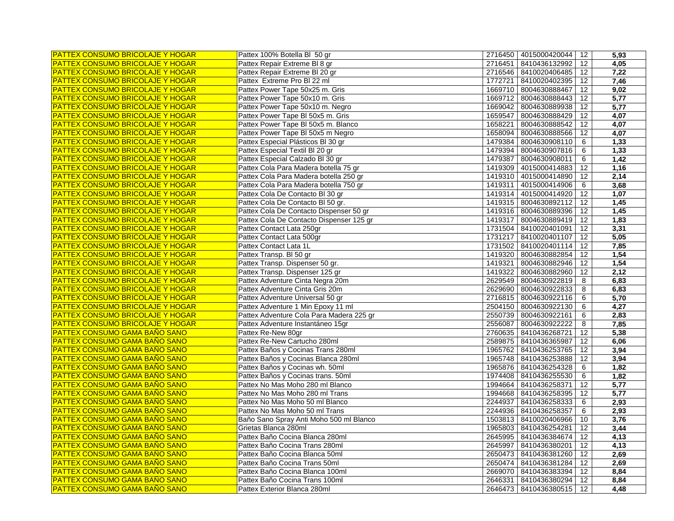| <b>PATTEX CONSUMO BRICOLAJE Y HOGAR</b> | Pattex 100% Botella BI 50 gr                       | 2716450 | 4015000420044              | 12      | 5,93 |
|-----------------------------------------|----------------------------------------------------|---------|----------------------------|---------|------|
| <b>PATTEX CONSUMO BRICOLAJE Y HOGAR</b> | Pattex Repair Extreme BI 8 gr                      |         | 2716451   8410436132992    | 12      | 4,05 |
| <b>PATTEX CONSUMO BRICOLAJE Y HOGAR</b> | Pattex Repair Extreme BI 20 gr                     |         | 2716546 8410020406485      | 12      | 7,22 |
| <b>PATTEX CONSUMO BRICOLAJE Y HOGAR</b> | Pattex Extreme Pro BI 22 ml                        | 1772721 | 8410020402395              | 12      | 7,46 |
| <b>PATTEX CONSUMO BRICOLAJE Y HOGAR</b> | Pattex Power Tape 50x25 m. Gris                    | 1669710 | 8004630888467              | 12      | 9,02 |
| <b>PATTEX CONSUMO BRICOLAJE Y HOGAR</b> | Pattex Power Tape 50x10 m. Gris                    | 1669712 | 8004630888443              | 12      | 5,77 |
| <b>PATTEX CONSUMO BRICOLAJE Y HOGAR</b> | Pattex Power Tape 50x10 m. Negro                   | 1669042 | 8004630889938              | 12      | 5,77 |
| <b>PATTEX CONSUMO BRICOLAJE Y HOGAR</b> | Pattex Power Tape BI 50x5 m. Gris                  | 1659547 | 8004630888429              | 12      | 4,07 |
| <b>PATTEX CONSUMO BRICOLAJE Y HOGAR</b> | Pattex Power Tape BI 50x5 m. Blanco                | 1658221 | 8004630888542              | 12      | 4,07 |
| <b>PATTEX CONSUMO BRICOLAJE Y HOGAR</b> | Pattex Power Tape BI 50x5 m Negro                  | 1658094 | 8004630888566              | 12      | 4,07 |
| <b>PATTEX CONSUMO BRICOLAJE Y HOGAR</b> | Pattex Especial Plásticos BI 30 gr                 | 1479384 | 8004630908110              | 6       | 1,33 |
| PATTEX CONSUMO BRICOLAJE Y HOGAR        | Pattex Especial Textil BI 20 gr                    | 1479394 | 8004630907816              | 6       | 1,33 |
| <b>PATTEX CONSUMO BRICOLAJE Y HOGAR</b> | Pattex Especial Calzado Bl 30 gr                   | 1479387 | 8004630908011              | 6       | 1,42 |
| <b>PATTEX CONSUMO BRICOLAJE Y HOGAR</b> | Pattex Cola Para Madera botella 75 gr              | 1419309 | 4015000414883              | 12      | 1,16 |
| <b>PATTEX CONSUMO BRICOLAJE Y HOGAR</b> | Pattex Cola Para Madera botella 250 gr             |         | 1419310   4015000414890    | 12      | 2,14 |
| <b>PATTEX CONSUMO BRICOLAJE Y HOGAR</b> | Pattex Cola Para Madera botella 750 gr             | 1419311 | 4015000414906              | 6       | 3,68 |
| <b>PATTEX CONSUMO BRICOLAJE Y HOGAR</b> | Pattex Cola De Contacto Bl 30 gr                   |         | 1419314   4015000414920    | 12      | 1,07 |
| <b>PATTEX CONSUMO BRICOLAJE Y HOGAR</b> | Pattex Cola De Contacto BI 50 gr.                  |         | 1419315 8004630892112      | 12      | 1,45 |
| PATTEX CONSUMO BRICOLAJE Y HOGAR        | Pattex Cola De Contacto Dispenser 50 gr            |         | 1419316 8004630889396      | 12      | 1,45 |
| PATTEX CONSUMO BRICOLAJE Y HOGAR        | Pattex Cola De Contacto Dispenser 125 gr           | 1419317 | 8004630889419              | 12      | 1,83 |
| <b>PATTEX CONSUMO BRICOLAJE Y HOGAR</b> | Pattex Contact Lata 250gr                          |         | 1731504 8410020401091      | 12      | 3,31 |
| PATTEX CONSUMO BRICOLAJE Y HOGAR        | Pattex Contact Lata 500gr                          |         | 1731217 8410020401107      | 12      | 5,05 |
| <b>PATTEX CONSUMO BRICOLAJE Y HOGAR</b> | Pattex Contact Lata 1L                             |         | 1731502 8410020401114      | 12      | 7,85 |
| <b>PATTEX CONSUMO BRICOLAJE Y HOGAR</b> | Pattex Transp. BI 50 gr                            |         | 1419320   8004630882854    | 12      | 1,54 |
| PATTEX CONSUMO BRICOLAJE Y HOGAR        | Pattex Transp. Dispenser 50 gr.                    | 1419321 | 8004630882946              | 12      | 1,54 |
| PATTEX CONSUMO BRICOLAJE Y HOGAR        | Pattex Transp. Dispenser 125 gr                    |         | 1419322 8004630882960      | 12      | 2,12 |
| PATTEX CONSUMO BRICOLAJE Y HOGAR        | Pattex Adventure Cinta Negra 20m                   |         | 2629549 8004630922819      | 8       | 6,83 |
| PATTEX CONSUMO BRICOLAJE Y HOGAR        | Pattex Adventure Cinta Gris 20m                    |         | 2629690 8004630922833      | 8       | 6,83 |
| PATTEX CONSUMO BRICOLAJE Y HOGAR        | Pattex Adventure Universal 50 gr                   |         | 2716815 8004630922116      | 6       | 5,70 |
| PATTEX CONSUMO BRICOLAJE Y HOGAR        | Pattex Adventure 1 Min Epoxy 11 ml                 |         | 2504150 8004630922130      |         | 4,27 |
| PATTEX CONSUMO BRICOLAJE Y HOGAR        | Pattex Adventure Cola Para Madera 225 gr           |         | 2550739 8004630922161      | 6       | 2,83 |
| <b>PATTEX CONSUMO BRICOLAJE Y HOGAR</b> |                                                    | 2556087 |                            | 6       | 7,85 |
| <b>PATTEX CONSUMO GAMA BAÑO SANO</b>    | Pattex Adventure Instantáneo 15gr                  |         | 8004630922222              | 8<br>12 | 5,38 |
| <b>PATTEX CONSUMO GAMA BAÑO SANO</b>    | Pattex Re-New 80gr<br>Pattex Re-New Cartucho 280ml |         | 2760635 8410436268721      |         |      |
|                                         |                                                    |         | 2589875   8410436365987    | 12      | 6,06 |
| <b>PATTEX CONSUMO GAMA BAÑO SANO</b>    | Pattex Baños y Cocinas Trans 280ml                 | 1965762 | 8410436253765              | 12      | 3,94 |
| <b>PATTEX CONSUMO GAMA BAÑO SANO</b>    | Pattex Baños y Cocinas Blanca 280ml                | 1965748 | 8410436253888              | 12      | 3,94 |
| <b>PATTEX CONSUMO GAMA BAÑO SANO</b>    | Pattex Baños y Cocinas wh. 50ml                    |         | 1965876 8410436254328      | 6       | 1,82 |
| <b>PATTEX CONSUMO GAMA BAÑO SANO</b>    | Pattex Baños y Cocinas trans. 50ml                 |         | 1974408 8410436255530      | 6       | 1,82 |
| <b>PATTEX CONSUMO GAMA BAÑO SANO</b>    | Pattex No Mas Moho 280 ml Blanco                   |         | 1994664 8410436258371      | 12      | 5,77 |
| <b>PATTEX CONSUMO GAMA BAÑO SANO</b>    | Pattex No Mas Moho 280 ml Trans                    |         | 1994668 8410436258395      | 12      | 5,77 |
| <b>PATTEX CONSUMO GAMA BAÑO SANO</b>    | Pattex No Mas Moho 50 ml Blanco                    |         | 2244937 8410436258333      | 6       | 2,93 |
| <b>PATTEX CONSUMO GAMA BAÑO SANO</b>    | Pattex No Mas Moho 50 ml Trans                     |         | 2244936 8410436258357      | 6       | 2,93 |
| <b>PATTEX CONSUMO GAMA BAÑO SANO</b>    | Baño Sano Spray Anti Moho 500 ml Blanco            |         | 1503813 8410020406966      | 10      | 3,76 |
| <b>PATTEX CONSUMO GAMA BAÑO SANO</b>    | Grietas Blanca 280ml                               |         | 1965803 8410436254281      | 12      | 3,44 |
| <b>PATTEX CONSUMO GAMA BAÑO SANO</b>    | Pattex Baño Cocina Blanca 280ml                    | 2645995 | 8410436384674              | 12      | 4,13 |
| <b>PATTEX CONSUMO GAMA BAÑO SANO</b>    | Pattex Baño Cocina Trans 280ml                     | 2645997 | 8410436380201              | 12      | 4,13 |
| <b>PATTEX CONSUMO GAMA BAÑO SANO</b>    | Pattex Baño Cocina Blanca 50ml                     |         | 2650473   8410436381260    | 12      | 2,69 |
| <b>PATTEX CONSUMO GAMA BAÑO SANO</b>    | Pattex Baño Cocina Trans 50ml                      |         | 2650474   8410436381284    | 12      | 2,69 |
| <b>PATTEX CONSUMO GAMA BAÑO SANO</b>    | Pattex Baño Cocina Blanca 100ml                    |         | 2669070   8410436383394    | 12      | 8,84 |
| <b>PATTEX CONSUMO GAMA BAÑO SANO</b>    | Pattex Baño Cocina Trans 100ml                     |         | 2646331   8410436380294    | 12      | 8,84 |
| <b>PATTEX CONSUMO GAMA BAÑO SANO</b>    | Pattex Exterior Blanca 280ml                       |         | 2646473 8410436380515   12 |         | 4,48 |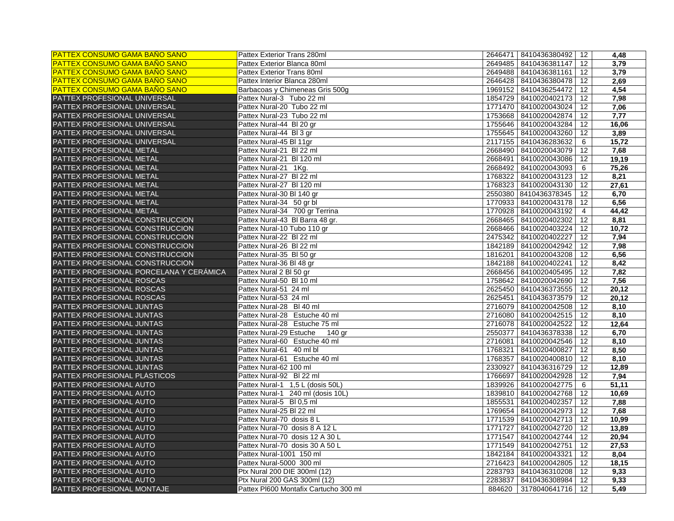| <b>PATTEX CONSUMO GAMA BAÑO SANO</b>    | Pattex Exterior Trans 280ml           | 2646471   8410436380492    | 12             | 4,48  |
|-----------------------------------------|---------------------------------------|----------------------------|----------------|-------|
| <b>PATTEX CONSUMO GAMA BAÑO SANO</b>    | Pattex Exterior Blanca 80ml           | 2649485 8410436381147   12 |                | 3,79  |
| <b>PATTEX CONSUMO GAMA BAÑO SANO</b>    | Pattex Exterior Trans 80ml            | 2649488 8410436381161   12 |                | 3,79  |
| <b>PATTEX CONSUMO GAMA BAÑO SANO</b>    | Pattex Interior Blanca 280ml          | 2646428   8410436380478    | 12             | 2,69  |
| <b>PATTEX CONSUMO GAMA BAÑO SANO</b>    | Barbacoas y Chimeneas Gris 500g       | 1969152 8410436254472      | 12             | 4,54  |
| PATTEX PROFESIONAL UNIVERSAL            | Pattex Nural-3 Tubo 22 ml             | 1854729 8410020402173      | 12             | 7,98  |
| PATTEX PROFESIONAL UNIVERSAL            | Pattex Nural-20 Tubo 22 ml            | 1771470   8410020043024    | 12             | 7,06  |
| PATTEX PROFESIONAL UNIVERSAL            | Pattex Nural-23 Tubo 22 ml            | 1753668   8410020042874    | 12             | 7,77  |
| PATTEX PROFESIONAL UNIVERSAL            | Pattex Nural-44 BI 20 gr              | 1755646   8410020043284    | 12             | 16,06 |
| PATTEX PROFESIONAL UNIVERSAL            | Pattex Nural-44 BI 3 gr               | 1755645 8410020043260      | 12             | 3,89  |
| PATTEX PROFESIONAL UNIVERSAL            | Pattex Nural-45 Bl 11gr               | 2117155 8410436283632      | 6              | 15,72 |
| PATTEX PROFESIONAL METAL                | Pattex Nural-21 BI 22 ml              | 2668490   8410020043079    | 12             | 7,68  |
| PATTEX PROFESIONAL METAL                | Pattex Nural-21 BI 120 ml             | 2668491<br>8410020043086   | 12             | 19,19 |
| PATTEX PROFESIONAL METAL                | Pattex Nural-21 1Kg.                  | 2668492   8410020043093    | 6              | 75,26 |
| PATTEX PROFESIONAL METAL                | Pattex Nural-27 BI 22 ml              | 1768322<br>8410020043123   | 12             | 8,21  |
| PATTEX PROFESIONAL METAL                | Pattex Nural-27 BI 120 ml             | 1768323   8410020043130    | 12             | 27,61 |
| PATTEX PROFESIONAL METAL                | Pattex Nural-30 Bl 140 gr             | 2550380 8410436378345      | 12             | 6,70  |
| PATTEX PROFESIONAL METAL                | Pattex Nural-34 50 gr bl              | 1770933   8410020043178    | 12             | 6,56  |
| PATTEX PROFESIONAL METAL                | Pattex Nural-34 700 gr Terrina        | 1770928 8410020043192      | $\overline{4}$ | 44,42 |
| PATTEX PROFESIONAL CONSTRUCCION         | Pattex Nural-43 Bl Barra 48 gr.       | 2668465   8410020402302    | 12             | 8,81  |
| PATTEX PROFESIONAL CONSTRUCCION         | Pattex Nural-10 Tubo 110 gr           | 2668466 8410020403224   12 |                | 10,72 |
| PATTEX PROFESIONAL CONSTRUCCION         | Pattex Nural-22 BI 22 ml              | 2475342 8410020402227      | 12             | 7,94  |
| PATTEX PROFESIONAL CONSTRUCCION         | Pattex Nural-26 BI 22 ml              | 1842189 8410020042942 12   |                | 7,98  |
| PATTEX PROFESIONAL CONSTRUCCION         | Pattex Nural-35 BI 50 gr              | 1816201 8410020043208 12   |                | 6,56  |
| PATTEX PROFESIONAL CONSTRUCCION         | Pattex Nural-36 Bl 48 gr              | 1842188   8410020402241    | 12             | 8,42  |
| PATTEX PROFESIONAL PORCELANA Y CERÁMICA | Pattex Nural 2 BI 50 gr               | 2668456   8410020405495    | 12             | 7,82  |
| PATTEX PROFESIONAL ROSCAS               | Pattex Nural-50 BI 10 ml              | 1758642 8410020042690      | 12             | 7,56  |
| PATTEX PROFESIONAL ROSCAS               | Pattex Nural-51 24 ml                 | 2625450   8410436373555    | 12             | 20,12 |
| PATTEX PROFESIONAL ROSCAS               | Pattex Nural-53 24 ml                 | 2625451 8410436373579      | 12             | 20,12 |
| PATTEX PROFESIONAL JUNTAS               | Pattex Nural-28 BI 40 ml              | 2716079 8410020042508      | 12             | 8,10  |
| PATTEX PROFESIONAL JUNTAS               | Pattex Nural-28 Estuche 40 ml         | 2716080 8410020042515      | 12             | 8,10  |
| PATTEX PROFESIONAL JUNTAS               | Pattex Nural-28 Estuche 75 ml         | 2716078 8410020042522      | 12             | 12,64 |
| PATTEX PROFESIONAL JUNTAS               | Pattex Nural-29 Estuche<br>140 gr     | 2550377<br>8410436378338   | 12             | 6,70  |
| PATTEX PROFESIONAL JUNTAS               | Pattex Nural-60 Estuche 40 ml         | 2716081<br>8410020042546   | 12             | 8,10  |
| PATTEX PROFESIONAL JUNTAS               | Pattex Nural-61 40 ml bl              | 1768321<br>8410020400827   | 12             | 8,50  |
| PATTEX PROFESIONAL JUNTAS               | Pattex Nural-61 Estuche 40 ml         | 1768357<br>8410020400810   | 12             | 8,10  |
| PATTEX PROFESIONAL JUNTAS               | Pattex Nural-62 100 ml                | 2330927<br>8410436316729   | 12             | 12,89 |
| PATTEX PROFESIONAL PLÁSTICOS            | Pattex Nural-92 BI 22 ml              | 1766697   8410020042928    | 12             | 7,94  |
| PATTEX PROFESIONAL AUTO                 | Pattex Nural-1 1,5 L (dosis 50L)      | 1839926 8410020042775      | 6              | 51,11 |
| PATTEX PROFESIONAL AUTO                 | Pattex Nural-1 240 ml (dosis 10L)     | 1839810 8410020042768   12 |                | 10,69 |
| PATTEX PROFESIONAL AUTO                 | Pattex Nural-5 BI 0,5 ml              | 1855531 8410020402357      | 12             | 7,88  |
| PATTEX PROFESIONAL AUTO                 | Pattex Nural-25 BI 22 ml              | 1769654 8410020042973 12   |                | 7,68  |
| PATTEX PROFESIONAL AUTO                 | Pattex Nural-70 dosis 8 L             | 1771539 8410020042713      | 12             | 10,99 |
| PATTEX PROFESIONAL AUTO                 | Pattex Nural-70 dosis 8 A 12 L        | 1771727   8410020042720    | 12             | 13,89 |
| PATTEX PROFESIONAL AUTO                 | Pattex Nural-70 dosis 12 A 30 L       | 1771547   8410020042744    | 12             | 20,94 |
| PATTEX PROFESIONAL AUTO                 | Pattex Nural-70 dosis 30 A 50 L       | 1771549 8410020042751      | 12             | 27,53 |
| PATTEX PROFESIONAL AUTO                 | Pattex Nural-1001 150 ml              | 1842184 8410020043321      | 12             | 8,04  |
| PATTEX PROFESIONAL AUTO                 | Pattex Nural-5000 300 ml              | 2716423 8410020042805      | 12             | 18,15 |
| PATTEX PROFESIONAL AUTO                 | Ptx Nural 200 DIE 300ml (12)          | 2283793   8410436310208    | 12             | 9,33  |
| PATTEX PROFESIONAL AUTO                 | Ptx Nural 200 GAS 300ml (12)          | 2283837 8410436308984 72   |                | 9,33  |
| PATTEX PROFESIONAL MONTAJE              | Pattex PI600 Montafix Cartucho 300 ml | 884620 3178040641716 12    |                | 5,49  |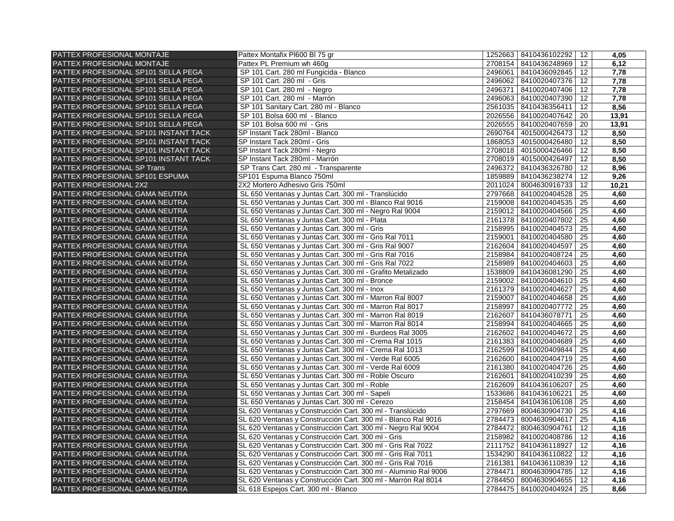| PATTEX PROFESIONAL MONTAJE            | Pattex Montafix PI600 BI 75 gr                                  |         | 1252663 8410436102292   | 12 | 4,05  |
|---------------------------------------|-----------------------------------------------------------------|---------|-------------------------|----|-------|
| PATTEX PROFESIONAL MONTAJE            | Pattex PL Premium wh 460g                                       |         | 2708154   8410436248969 | 12 | 6,12  |
| PATTEX PROFESIONAL SP101 SELLA PEGA   | SP 101 Cart. 280 ml Fungicida - Blanco                          | 2496061 | 8410436092845           | 12 | 7,78  |
| PATTEX PROFESIONAL SP101 SELLA PEGA   | SP 101 Cart. 280 ml - Gris                                      | 2496062 | 8410020407376           | 12 | 7,78  |
| PATTEX PROFESIONAL SP101 SELLA PEGA   | SP 101 Cart. 280 ml - Negro                                     | 2496371 | 8410020407406           | 12 | 7,78  |
| PATTEX PROFESIONAL SP101 SELLA PEGA   | SP 101 Cart. 280 ml - Marrón                                    |         | 2496063   8410020407390 | 12 | 7,78  |
| PATTEX PROFESIONAL SP101 SELLA PEGA   | SP 101 Sanitary Cart. 280 ml - Blanco                           |         | 2561035   8410436356411 | 12 | 8,56  |
| PATTEX PROFESIONAL SP101 SELLA PEGA   | SP 101 Bolsa 600 ml - Blanco                                    |         | 2026556 8410020407642   | 20 | 13,91 |
| PATTEX PROFESIONAL SP101 SELLA PEGA   | SP 101 Bolsa 600 ml - Gris                                      |         | 2026555   8410020407659 | 20 | 13,91 |
| PATTEX PROFESIONAL SP101 INSTANT TACK | SP Instant Tack 280ml - Blanco                                  |         | 2690764   4015000426473 | 12 | 8,50  |
| PATTEX PROFESIONAL SP101 INSTANT TACK | SP Instant Tack 280ml - Gris                                    |         | 1868053 4015000426480   | 12 | 8,50  |
| PATTEX PROFESIONAL SP101 INSTANT TACK | SP Instant Tack 280ml - Negro                                   |         | 2708018   4015000426466 | 12 | 8,50  |
| PATTEX PROFESIONAL SP101 INSTANT TACK | SP Instant Tack 280ml - Marrón                                  |         | 2708019   4015000426497 | 12 | 8,50  |
| PATTEX PROFESIONAL SP Trans           | SP Trans Cart. 280 ml - Transparente                            |         | 2496372 8410436326780   | 12 | 8,96  |
| PATTEX PROFESIONAL SP101 ESPUMA       | SP101 Espuma Blanco 750ml                                       |         | 1859889 8410436238274   | 12 | 9,26  |
| PATTEX PROFESIONAL 2X2                | 2X2 Mortero Adhesivo Gris 750ml                                 |         | 2011024 8004630916733   | 12 | 10,21 |
| PATTEX PROFESIONAL GAMA NEUTRA        | SL 650 Ventanas y Juntas Cart. 300 ml - Translúcido             |         | 2797668 8410020404528   | 25 | 4,60  |
| PATTEX PROFESIONAL GAMA NEUTRA        | SL 650 Ventanas y Juntas Cart. 300 ml - Blanco Ral 9016         |         | 2159008 8410020404535   | 25 | 4,60  |
| PATTEX PROFESIONAL GAMA NEUTRA        | SL 650 Ventanas y Juntas Cart. 300 ml - Negro Ral 9004          |         | 2159012 8410020404566   | 25 | 4,60  |
| PATTEX PROFESIONAL GAMA NEUTRA        | SL 650 Ventanas y Juntas Cart. 300 ml - Plata                   |         | 2161378 8410020407802   | 25 | 4,60  |
| PATTEX PROFESIONAL GAMA NEUTRA        | SL 650 Ventanas y Juntas Cart. 300 ml - Gris                    |         | 2158995 8410020404573   | 25 | 4,60  |
| PATTEX PROFESIONAL GAMA NEUTRA        | SL 650 Ventanas y Juntas Cart. 300 ml - Gris Ral 7011           | 2159001 | 8410020404580           | 25 | 4,60  |
| PATTEX PROFESIONAL GAMA NEUTRA        | SL 650 Ventanas y Juntas Cart. 300 ml - Gris Ral 9007           |         | 2162604 8410020404597   | 25 | 4,60  |
| PATTEX PROFESIONAL GAMA NEUTRA        | SL 650 Ventanas y Juntas Cart. 300 ml - Gris Ral 7016           |         | 2158984 8410020408724   | 25 | 4,60  |
| PATTEX PROFESIONAL GAMA NEUTRA        | SL 650 Ventanas y Juntas Cart. 300 ml - Gris Ral 7022           |         | 2158989 8410020404603   | 25 | 4,60  |
| PATTEX PROFESIONAL GAMA NEUTRA        | SL 650 Ventanas y Juntas Cart. 300 ml - Grafito Metalizado      |         | 1538809   8410436081290 | 25 | 4,60  |
| PATTEX PROFESIONAL GAMA NEUTRA        | SL 650 Ventanas y Juntas Cart. 300 ml - Bronce                  |         | 2159002 8410020404610   | 25 | 4,60  |
| PATTEX PROFESIONAL GAMA NEUTRA        | SL 650 Ventanas y Juntas Cart. 300 ml - Inox                    |         | 2161379 8410020404627   | 25 | 4,60  |
| PATTEX PROFESIONAL GAMA NEUTRA        | SL 650 Ventanas y Juntas Cart. 300 ml - Marron Ral 8007         |         | 2159007 8410020404658   | 25 | 4,60  |
| PATTEX PROFESIONAL GAMA NEUTRA        | SL 650 Ventanas y Juntas Cart. 300 ml - Marron Ral 8017         |         | 2158997 8410020407772   | 25 | 4,60  |
| PATTEX PROFESIONAL GAMA NEUTRA        | SL 650 Ventanas y Juntas Cart. 300 ml - Marron Ral 8019         |         | 2162607 8410436078771   | 25 | 4,60  |
| PATTEX PROFESIONAL GAMA NEUTRA        | SL 650 Ventanas y Juntas Cart. 300 ml - Marron Ral 8014         |         | 2158994 8410020404665   | 25 | 4,60  |
| PATTEX PROFESIONAL GAMA NEUTRA        | SL 650 Ventanas y Juntas Cart. 300 ml - Burdeos Ral 3005        | 2162602 | 8410020404672           | 25 | 4,60  |
| PATTEX PROFESIONAL GAMA NEUTRA        | SL 650 Ventanas y Juntas Cart. 300 ml - Crema Ral 1015          |         | 2161383 8410020404689   | 25 | 4,60  |
| PATTEX PROFESIONAL GAMA NEUTRA        | SL 650 Ventanas y Juntas Cart. 300 ml - Crema Ral 1013          |         | 2162599 8410020409844   | 25 | 4,60  |
| PATTEX PROFESIONAL GAMA NEUTRA        | SL 650 Ventanas y Juntas Cart. 300 ml - Verde Ral 6005          |         | 2162600 8410020404719   | 25 | 4,60  |
| PATTEX PROFESIONAL GAMA NEUTRA        | SL 650 Ventanas y Juntas Cart. 300 ml - Verde Ral 6009          |         | 2161380 8410020404726   | 25 | 4,60  |
| PATTEX PROFESIONAL GAMA NEUTRA        | SL 650 Ventanas y Juntas Cart. 300 ml - Roble Oscuro            |         | 2162601 8410020410239   | 25 | 4,60  |
| PATTEX PROFESIONAL GAMA NEUTRA        | SL 650 Ventanas y Juntas Cart. 300 ml - Roble                   |         | 2162609 8410436106207   | 25 | 4,60  |
| PATTEX PROFESIONAL GAMA NEUTRA        | SL 650 Ventanas y Juntas Cart. 300 ml - Sapeli                  |         | 1533686 8410436106221   | 25 | 4,60  |
| PATTEX PROFESIONAL GAMA NEUTRA        | SL 650 Ventanas y Juntas Cart. 300 ml - Cerezo                  |         | 2158454 8410436106108   | 25 | 4,60  |
| PATTEX PROFESIONAL GAMA NEUTRA        | SL 620 Ventanas y Construcción Cart. 300 ml - Translúcido       |         | 2797669 8004630904730   | 25 | 4,16  |
| PATTEX PROFESIONAL GAMA NEUTRA        | SL 620 Ventanas y Construcción Cart. 300 ml - Blanco Ral 9016   |         | 2784473 8004630904617   | 25 | 4,16  |
| PATTEX PROFESIONAL GAMA NEUTRA        | SL 620 Ventanas y Construcción Cart. 300 ml - Negro Ral 9004    | 2784472 | 8004630904761           | 12 | 4,16  |
| PATTEX PROFESIONAL GAMA NEUTRA        | SL 620 Ventanas y Construcción Cart. 300 ml - Gris              | 2158982 | 8410020408786           | 12 | 4,16  |
| PATTEX PROFESIONAL GAMA NEUTRA        | SL 620 Ventanas y Construcción Cart. 300 ml - Gris Ral 7022     |         | 2111752 8410436118927   | 12 | 4,16  |
| PATTEX PROFESIONAL GAMA NEUTRA        | SL 620 Ventanas y Construcción Cart. 300 ml - Gris Ral 7011     |         | 1534290 8410436110822   | 12 | 4,16  |
| PATTEX PROFESIONAL GAMA NEUTRA        | SL 620 Ventanas y Construcción Cart. 300 ml - Gris Ral 7016     |         | 2161381   8410436110839 | 12 | 4,16  |
| PATTEX PROFESIONAL GAMA NEUTRA        | SL 620 Ventanas y Construcción Cart. 300 ml - Aluminio Ral 9006 | 2784471 | 8004630904785           | 12 | 4,16  |
| PATTEX PROFESIONAL GAMA NEUTRA        | SL 620 Ventanas y Construcción Cart. 300 ml - Marrón Ral 8014   |         | 2784450   8004630904655 | 12 | 4,16  |
| PATTEX PROFESIONAL GAMA NEUTRA        | SL 618 Espejos Cart. 300 ml - Blanco                            |         | 2784475   8410020404924 | 25 | 8,66  |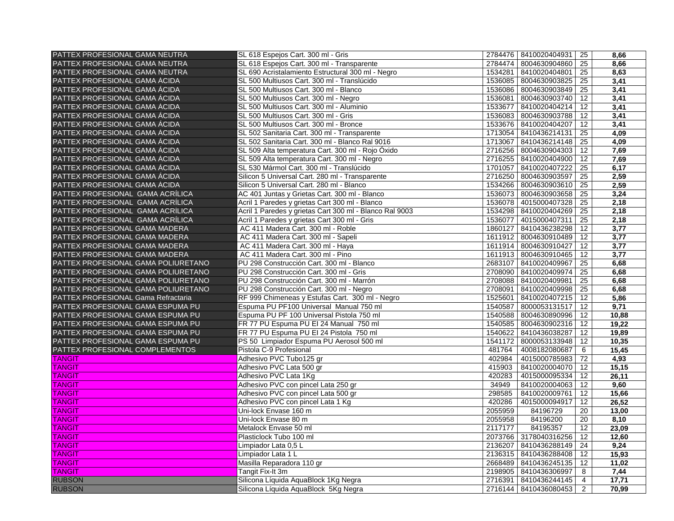| PATTEX PROFESIONAL GAMA NEUTRA      | SL 618 Espejos Cart. 300 ml - Gris                      |         | 2784476   8410020404931 | 25             | 8,66  |
|-------------------------------------|---------------------------------------------------------|---------|-------------------------|----------------|-------|
| PATTEX PROFESIONAL GAMA NEUTRA      | SL 618 Espejos Cart. 300 ml - Transparente              | 2784474 | 8004630904860 25        |                | 8,66  |
| PATTEX PROFESIONAL GAMA NEUTRA      | SL 690 Acristalamiento Estructural 300 ml - Negro       | 1534281 | 8410020404801 25        |                | 8,63  |
| PATTEX PROFESIONAL GAMA ÁCIDA       | SL 500 Multiusos Cart. 300 ml - Translúcido             | 1536085 | 8004630903825           | 25             | 3,41  |
| PATTEX PROFESIONAL GAMA ÁCIDA       | SL 500 Multiusos Cart. 300 ml - Blanco                  | 1536086 | 8004630903849           | 25             | 3,41  |
| PATTEX PROFESIONAL GAMA ÁCIDA       | SL 500 Multiusos Cart. 300 ml - Negro                   | 1536081 | 8004630903740           | 12             | 3,41  |
| PATTEX PROFESIONAL GAMA ÁCIDA       | SL 500 Multiusos Cart. 300 ml - Aluminio                | 1533677 | 8410020404214           | 12             | 3,41  |
| PATTEX PROFESIONAL GAMA ÁCIDA       | SL 500 Multiusos Cart. 300 ml - Gris                    | 1536083 | 8004630903788           | 12             | 3,41  |
| PATTEX PROFESIONAL GAMA ÁCIDA       | SL 500 Multiusos Cart. 300 ml - Bronce                  | 1533676 | 8410020404207           | 12             | 3,41  |
| PATTEX PROFESIONAL GAMA ÁCIDA       | SL 502 Sanitaria Cart. 300 ml - Transparente            | 1713054 | 8410436214131           | 25             | 4,09  |
| PATTEX PROFESIONAL GAMA ÁCIDA       | SL 502 Sanitaria Cart. 300 ml - Blanco Ral 9016         | 1713067 | 8410436214148           | 25             | 4,09  |
| PATTEX PROFESIONAL GAMA ÁCIDA       | SL 509 Alta temperatura Cart. 300 ml - Rojo Óxido       | 2716256 | 8004630904303           | 12             | 7,69  |
| PATTEX PROFESIONAL GAMA ÁCIDA       | SL 509 Alta temperatura Cart. 300 ml - Negro            | 2716255 | 8410020404900           | 12             | 7,69  |
| PATTEX PROFESIONAL GAMA ÁCIDA       | SL 530 Mármol Cart. 300 ml - Translúcido                | 1701057 | 8410020407222           | 25             | 6,17  |
| PATTEX PROFESIONAL GAMA ÁCIDA       | Silicon 5 Universal Cart. 280 ml - Transparente         | 2716250 | 8004630903597           | 25             | 2,59  |
| PATTEX PROFESIONAL GAMA ÁCIDA       | Silicon 5 Universal Cart. 280 ml - Blanco               | 1534266 | 8004630903610           | 25             | 2,59  |
| PATTEX PROFESIONAL GAMA ACRÍLICA    | AC 401 Juntas y Grietas Cart. 300 ml - Blanco           | 1536073 | 8004630903658           | 25             | 3,24  |
| PATTEX PROFESIONAL GAMA ACRÍLICA    | Acril 1 Paredes y grietas Cart 300 ml - Blanco          | 1536078 | 4015000407328           | 25             | 2,18  |
| PATTEX PROFESIONAL GAMA ACRÍLICA    | Acril 1 Paredes y grietas Cart 300 ml - Blanco Ral 9003 | 1534298 | 8410020404269           | 25             | 2,18  |
| PATTEX PROFESIONAL GAMA ACRÍLICA    | Acril 1 Paredes y grietas Cart 300 ml - Gris            | 1536077 | 4015000407311           | 25             | 2,18  |
| PATTEX PROFESIONAL GAMA MADERA      | AC 411 Madera Cart. 300 ml - Roble                      | 1860127 | 8410436238298           | 12             | 3,77  |
| PATTEX PROFESIONAL GAMA MADERA      | AC 411 Madera Cart. 300 ml - Sapeli                     |         | 1611912 8004630910489   | 12             | 3,77  |
| PATTEX PROFESIONAL GAMA MADERA      | AC 411 Madera Cart. 300 ml - Haya                       | 1611914 | 8004630910427           | 12             | 3,77  |
| PATTEX PROFESIONAL GAMA MADERA      | AC 411 Madera Cart. 300 ml - Pino                       | 1611913 | 8004630910465           | 12             | 3,77  |
| PATTEX PROFESIONAL GAMA POLIURETANO | PU 298 Construcción Cart. 300 ml - Blanco               | 2683107 | 8410020409967           | 25             | 6,68  |
| PATTEX PROFESIONAL GAMA POLIURETANO | PU 298 Construcción Cart. 300 ml - Gris                 | 2708090 | 8410020409974           | 25             | 6,68  |
| PATTEX PROFESIONAL GAMA POLIURETANO | PU 298 Construcción Cart. 300 ml - Marrón               | 2708088 | 8410020409981           | 25             | 6,68  |
| PATTEX PROFESIONAL GAMA POLIURETANO | PU 298 Construcción Cart. 300 ml - Negro                | 2708091 | 8410020409998           | 25             | 6,68  |
| PATTEX PROFESIONAL Gama Refractaria | RF 999 Chimeneas y Estufas Cart. 300 ml - Negro         | 1525601 | 8410020407215           | 12             | 5,86  |
| PATTEX PROFESIONAL GAMA ESPUMA PU   | Espuma PU PF100 Universal Manual 750 ml                 | 1540587 | 8000053131517           | 12             | 9,71  |
| PATTEX PROFESIONAL GAMA ESPUMA PU   | Espuma PU PF 100 Universal Pistola 750 ml               | 1540588 | 8004630890996           | 12             | 10,88 |
| PATTEX PROFESIONAL GAMA ESPUMA PU   | FR 77 PU Espuma PU EI 24 Manual 750 ml                  | 1540585 | 8004630902316           | 12             | 19,22 |
| PATTEX PROFESIONAL GAMA ESPUMA PU   | FR 77 PU Espuma PU EI 24 Pistola 750 ml                 | 1540622 | 8410436038287           | 12             | 19,89 |
| PATTEX PROFESIONAL GAMA ESPUMA PU   | PS 50 Limpiador Espuma PU Aerosol 500 ml                | 1541172 | 8000053133948           | 12             | 10,35 |
| PATTEX PROFESIONAL COMPLEMENTOS     | Pistola C-9 Profesional                                 | 481764  | 4008182080687           | 6              | 15,45 |
| <b>TANGIT</b>                       | Adhesivo PVC Tubo125 gr                                 | 402984  | 4015000785983           | 72             | 4,93  |
| <b>TANGIT</b>                       | Adhesivo PVC Lata 500 gr                                | 415903  | 8410020004070           | 12             | 15,15 |
| <b>TANGIT</b>                       | Adhesivo PVC Lata 1Kg                                   | 420283  | 4015000095334           | 12             | 26,11 |
| <b>TANGIT</b>                       | Adhesivo PVC con pincel Lata 250 gr                     | 34949   | 8410020004063           | 12             | 9,60  |
| <b>TANGIT</b>                       | Adhesivo PVC con pincel Lata 500 gr                     | 298585  | 8410020009761           | 12             | 15,66 |
| <b>TANGIT</b>                       | Adhesivo PVC con pincel Lata 1 Kg                       | 420286  | 4015000094917           | 12             | 26,52 |
| <b>TANGIT</b>                       | Uni-lock Envase 160 m                                   | 2055959 | 84196729                | 20             | 13,00 |
| <b>TANGIT</b>                       | Uni-lock Envase 80 m                                    | 2055958 | 84196200                | 20             | 8,10  |
| <b>TANGIT</b>                       | Metalock Envase 50 ml                                   | 2117177 | 84195357                | 12             | 23,09 |
| <b>TANGIT</b>                       | Plasticlock Tubo 100 ml                                 | 2073766 | 3178040316256           | 12             | 12,60 |
| <b>TANGIT</b>                       | Limpiador Lata 0,5 L                                    | 2136207 | 8410436288149           | 24             | 9,24  |
| <b>TANGIT</b>                       | Limpiador Lata 1 L                                      | 2136315 | 8410436288408           | 12             | 15,93 |
| <b>TANGIT</b>                       | Masilla Reparadora 110 gr                               | 2668489 | 8410436245135           | 12             | 11,02 |
| <b>TANGIT</b>                       | Tangit Fix-It 3m                                        | 2198905 | 8410436306997           | 8              | 7,44  |
| <b>RUBSON</b>                       | Silicona Líquida AquaBlock 1Kg Negra                    |         | 2716391   8410436244145 | 4              | 17,71 |
| <b>RUBSON</b>                       | Silicona Líquida AquaBlock 5Kg Negra                    |         | 2716144   8410436080453 | $\overline{2}$ | 70,99 |